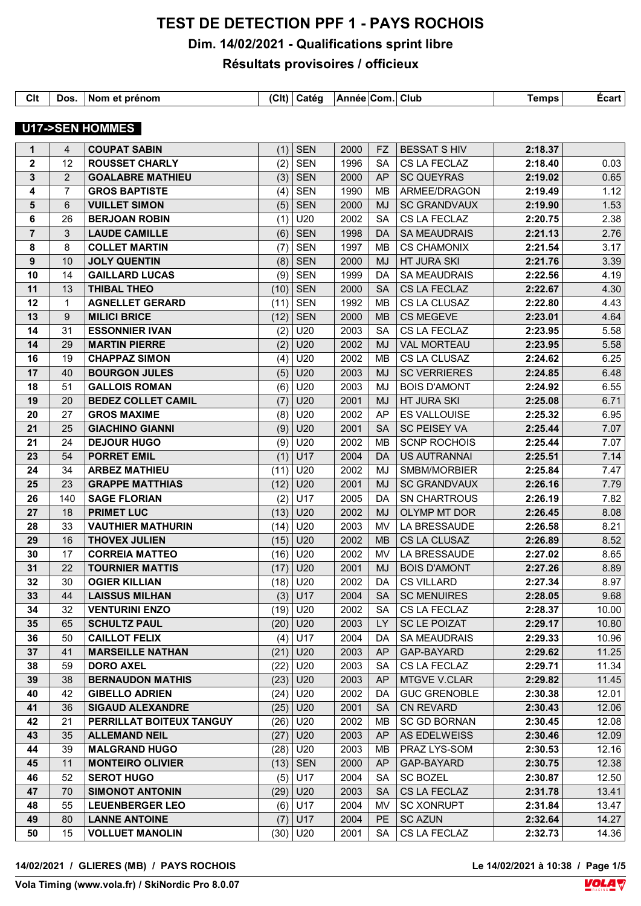# **TEST DE DETECTION PPF 1 - PAYS ROCHOIS**

## **Dim. 14/02/2021 - Qualifications sprint libre**

## **Résultats provisoires / officieux**

| Clt | Dos. | ⊩Nom et prénom | C | <b>Caté</b> α | Année Com. Club |  | <b>Temps</b> | Ecart |
|-----|------|----------------|---|---------------|-----------------|--|--------------|-------|

## **U17->SEN HOMMES**

| $\mathbf 1$             | 4              | <b>COUPAT SABIN</b>       | (1)  | <b>SEN</b> | 2000 | <b>FZ</b> | <b>BESSAT S HIV</b> | 2:18.37 |       |
|-------------------------|----------------|---------------------------|------|------------|------|-----------|---------------------|---------|-------|
| $\mathbf{2}$            | 12             | <b>ROUSSET CHARLY</b>     | (2)  | <b>SEN</b> | 1996 | <b>SA</b> | CS LA FECLAZ        | 2:18.40 | 0.03  |
| 3                       | 2              | <b>GOALABRE MATHIEU</b>   | (3)  | <b>SEN</b> | 2000 | <b>AP</b> | <b>SC QUEYRAS</b>   | 2:19.02 | 0.65  |
| 4                       | $\overline{7}$ | <b>GROS BAPTISTE</b>      | (4)  | <b>SEN</b> | 1990 | MB        | ARMEE/DRAGON        | 2:19.49 | 1.12  |
| 5                       | 6              | <b>VUILLET SIMON</b>      | (5)  | <b>SEN</b> | 2000 | MJ        | <b>SC GRANDVAUX</b> | 2:19.90 | 1.53  |
| 6                       | 26             | <b>BERJOAN ROBIN</b>      | (1)  | U20        | 2002 | <b>SA</b> | CS LA FECLAZ        | 2:20.75 | 2.38  |
| $\overline{\mathbf{7}}$ | 3              | <b>LAUDE CAMILLE</b>      | (6)  | <b>SEN</b> | 1998 | DA        | <b>SA MEAUDRAIS</b> | 2:21.13 | 2.76  |
| 8                       | 8              | <b>COLLET MARTIN</b>      | (7)  | <b>SEN</b> | 1997 | MB        | <b>CS CHAMONIX</b>  | 2:21.54 | 3.17  |
| 9                       | 10             | <b>JOLY QUENTIN</b>       | (8)  | <b>SEN</b> | 2000 | <b>MJ</b> | <b>HT JURA SKI</b>  | 2:21.76 | 3.39  |
| 10                      | 14             | <b>GAILLARD LUCAS</b>     | (9)  | <b>SEN</b> | 1999 | DA        | <b>SA MEAUDRAIS</b> | 2:22.56 | 4.19  |
| 11                      | 13             | <b>THIBAL THEO</b>        | (10) | <b>SEN</b> | 2000 | <b>SA</b> | CS LA FECLAZ        | 2:22.67 | 4.30  |
| 12                      | $\mathbf{1}$   | <b>AGNELLET GERARD</b>    | (11) | <b>SEN</b> | 1992 | MB        | CS LA CLUSAZ        | 2:22.80 | 4.43  |
| 13                      | 9              | <b>MILICI BRICE</b>       | (12) | <b>SEN</b> | 2000 | <b>MB</b> | <b>CS MEGEVE</b>    | 2:23.01 | 4.64  |
| 14                      | 31             | <b>ESSONNIER IVAN</b>     | (2)  | U20        | 2003 | <b>SA</b> | CS LA FECLAZ        | 2:23.95 | 5.58  |
| 14                      | 29             | <b>MARTIN PIERRE</b>      | (2)  | U20        | 2002 | <b>MJ</b> | <b>VAL MORTEAU</b>  | 2:23.95 | 5.58  |
| 16                      | 19             | <b>CHAPPAZ SIMON</b>      | (4)  | U20        | 2002 | MB        | CS LA CLUSAZ        | 2:24.62 | 6.25  |
| 17                      | 40             | <b>BOURGON JULES</b>      | (5)  | U20        | 2003 | <b>MJ</b> | <b>SC VERRIERES</b> | 2:24.85 | 6.48  |
| 18                      | 51             | <b>GALLOIS ROMAN</b>      | (6)  | U20        | 2003 | MJ        | <b>BOIS D'AMONT</b> | 2:24.92 | 6.55  |
| 19                      | 20             | <b>BEDEZ COLLET CAMIL</b> | (7)  | U20        | 2001 | MJ        | <b>HT JURA SKI</b>  | 2:25.08 | 6.71  |
| 20                      | 27             | <b>GROS MAXIME</b>        | (8)  | U20        | 2002 | AP        | <b>ES VALLOUISE</b> | 2:25.32 | 6.95  |
| 21                      | 25             | <b>GIACHINO GIANNI</b>    | (9)  | U20        | 2001 | <b>SA</b> | <b>SC PEISEY VA</b> | 2:25.44 | 7.07  |
| 21                      | 24             | <b>DEJOUR HUGO</b>        | (9)  | U20        | 2002 | <b>MB</b> | <b>SCNP ROCHOIS</b> | 2:25.44 | 7.07  |
| 23                      | 54             | <b>PORRET EMIL</b>        | (1)  | U17        | 2004 | <b>DA</b> | <b>US AUTRANNAI</b> | 2:25.51 | 7.14  |
| 24                      | 34             | <b>ARBEZ MATHIEU</b>      | (11) | U20        | 2002 | MJ        | SMBM/MORBIER        | 2:25.84 | 7.47  |
| 25                      | 23             | <b>GRAPPE MATTHIAS</b>    | (12) | U20        | 2001 | MJ        | <b>SC GRANDVAUX</b> | 2:26.16 | 7.79  |
| 26                      | 140            | <b>SAGE FLORIAN</b>       | (2)  | U17        | 2005 | DA        | <b>SN CHARTROUS</b> | 2:26.19 | 7.82  |
| 27                      | 18             | <b>PRIMET LUC</b>         | (13) | U20        | 2002 | <b>MJ</b> | OLYMP MT DOR        | 2:26.45 | 8.08  |
| 28                      | 33             | <b>VAUTHIER MATHURIN</b>  | (14) | U20        | 2003 | MV        | LA BRESSAUDE        | 2:26.58 | 8.21  |
| 29                      | 16             | <b>THOVEX JULIEN</b>      | (15) | U20        | 2002 | <b>MB</b> | CS LA CLUSAZ        | 2:26.89 | 8.52  |
| 30                      | 17             | <b>CORREIA MATTEO</b>     | (16) | U20        | 2002 | MV        | LA BRESSAUDE        | 2:27.02 | 8.65  |
| 31                      | 22             | <b>TOURNIER MATTIS</b>    | (17) | U20        | 2001 | <b>MJ</b> | <b>BOIS D'AMONT</b> | 2:27.26 | 8.89  |
| 32                      | 30             | <b>OGIER KILLIAN</b>      | (18) | U20        | 2002 | DA        | <b>CS VILLARD</b>   | 2:27.34 | 8.97  |
| 33                      | 44             | <b>LAISSUS MILHAN</b>     | (3)  | U17        | 2004 | <b>SA</b> | <b>SC MENUIRES</b>  | 2:28.05 | 9.68  |
| 34                      | 32             | <b>VENTURINI ENZO</b>     | (19) | U20        | 2002 | <b>SA</b> | CS LA FECLAZ        | 2:28.37 | 10.00 |
| 35                      | 65             | <b>SCHULTZ PAUL</b>       |      | $(20)$ U20 | 2003 |           | LY $ $ SC LE POIZAT | 2:29.17 | 10.80 |
| 36                      | 50             | <b>CAILLOT FELIX</b>      |      | $(4)$ U17  | 2004 | DA        | <b>SA MEAUDRAIS</b> | 2:29.33 | 10.96 |
| 37                      | 41             | <b>MARSEILLE NATHAN</b>   |      | $(21)$ U20 | 2003 | AP        | GAP-BAYARD          | 2:29.62 | 11.25 |
| 38                      | 59             | <b>DORO AXEL</b>          | (22) | U20        | 2003 | SA        | CS LA FECLAZ        | 2:29.71 | 11.34 |
| 39                      | 38             | <b>BERNAUDON MATHIS</b>   | (23) | U20        | 2003 | AP        | <b>MTGVE V.CLAR</b> | 2:29.82 | 11.45 |
| 40                      | 42             | <b>GIBELLO ADRIEN</b>     | (24) | U20        | 2002 | DA        | <b>GUC GRENOBLE</b> | 2:30.38 | 12.01 |
| 41                      |                |                           |      |            |      |           |                     |         |       |
| 42                      | 36             | <b>SIGAUD ALEXANDRE</b>   |      | $(25)$ U20 | 2001 | <b>SA</b> | <b>CN REVARD</b>    | 2:30.43 | 12.06 |
|                         | 21             | PERRILLAT BOITEUX TANGUY  |      | $(26)$ U20 | 2002 | MВ        | <b>SC GD BORNAN</b> | 2:30.45 | 12.08 |
| 43                      | 35             | <b>ALLEMAND NEIL</b>      | (27) | U20        | 2003 | AP        | AS EDELWEISS        | 2:30.46 | 12.09 |
| 44                      | 39             | <b>MALGRAND HUGO</b>      | (28) | U20        | 2003 | MВ        | PRAZ LYS-SOM        | 2:30.53 | 12.16 |
| 45                      | 11             | <b>MONTEIRO OLIVIER</b>   |      | $(13)$ SEN | 2000 | AP        | GAP-BAYARD          | 2:30.75 | 12.38 |
| 46                      | 52             | <b>SEROT HUGO</b>         | (5)  | U17        | 2004 | <b>SA</b> | <b>SC BOZEL</b>     | 2:30.87 | 12.50 |
| 47                      | 70             | <b>SIMONOT ANTONIN</b>    |      | $(29)$ U20 | 2003 | <b>SA</b> | CS LA FECLAZ        | 2:31.78 | 13.41 |
| 48                      | 55             | <b>LEUENBERGER LEO</b>    |      | $(6)$ U17  | 2004 | MV        | <b>SC XONRUPT</b>   | 2:31.84 | 13.47 |
| 49                      | 80             | <b>LANNE ANTOINE</b>      | (7)  | U17        | 2004 | <b>PE</b> | <b>SC AZUN</b>      | 2:32.64 | 14.27 |

Le 14/02/2021 à 10:38 / Page 1/5<br>**VOLA**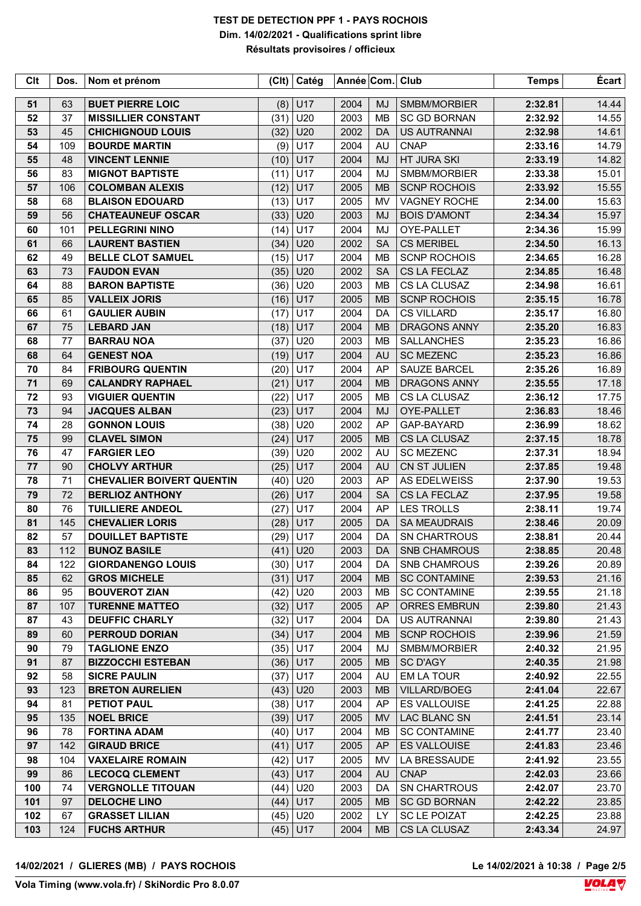| <b>Clt</b> | Dos. | Nom et prénom                    |      | $ CH $ Catég | Année Com. Club |           |                     | <b>Temps</b> | Écart |
|------------|------|----------------------------------|------|--------------|-----------------|-----------|---------------------|--------------|-------|
| 51         | 63   | <b>BUET PIERRE LOIC</b>          | (8)  | U17          | 2004            | <b>MJ</b> | SMBM/MORBIER        | 2:32.81      | 14.44 |
| 52         | 37   | <b>MISSILLIER CONSTANT</b>       | (31) | U20          | 2003            | <b>MB</b> | <b>SC GD BORNAN</b> | 2:32.92      | 14.55 |
| 53         | 45   | <b>CHICHIGNOUD LOUIS</b>         | (32) | U20          | 2002            | DA        | <b>US AUTRANNAI</b> | 2:32.98      | 14.61 |
| 54         | 109  | <b>BOURDE MARTIN</b>             | (9)  | U17          | 2004            | <b>AU</b> | <b>CNAP</b>         | 2:33.16      | 14.79 |
| 55         | 48   | <b>VINCENT LENNIE</b>            | (10) | U17          | 2004            | <b>MJ</b> | HT JURA SKI         | 2:33.19      | 14.82 |
| 56         | 83   | <b>MIGNOT BAPTISTE</b>           | (11) | U17          | 2004            | <b>MJ</b> | SMBM/MORBIER        | 2:33.38      | 15.01 |
| 57         | 106  | <b>COLOMBAN ALEXIS</b>           | (12) | U17          | 2005            | <b>MB</b> | <b>SCNP ROCHOIS</b> | 2:33.92      | 15.55 |
| 58         | 68   | <b>BLAISON EDOUARD</b>           | (13) | U17          | 2005            | MV        | <b>VAGNEY ROCHE</b> | 2:34.00      | 15.63 |
| 59         | 56   | <b>CHATEAUNEUF OSCAR</b>         | (33) | U20          | 2003            | <b>MJ</b> | <b>BOIS D'AMONT</b> | 2:34.34      | 15.97 |
| 60         | 101  | <b>PELLEGRINI NINO</b>           | (14) | U17          | 2004            | <b>MJ</b> | OYE-PALLET          | 2:34.36      | 15.99 |
| 61         | 66   | <b>LAURENT BASTIEN</b>           | (34) | U20          | 2002            | <b>SA</b> | <b>CS MERIBEL</b>   | 2:34.50      | 16.13 |
| 62         | 49   | <b>BELLE CLOT SAMUEL</b>         | (15) | U17          | 2004            | <b>MB</b> | <b>SCNP ROCHOIS</b> | 2:34.65      | 16.28 |
| 63         | 73   | <b>FAUDON EVAN</b>               | (35) | U20          | 2002            | <b>SA</b> | CS LA FECLAZ        | 2:34.85      | 16.48 |
| 64         | 88   | <b>BARON BAPTISTE</b>            | (36) | U20          | 2003            | MB        | CS LA CLUSAZ        | 2:34.98      | 16.61 |
| 65         | 85   | <b>VALLEIX JORIS</b>             | (16) | U17          | 2005            | <b>MB</b> | <b>SCNP ROCHOIS</b> | 2:35.15      | 16.78 |
| 66         | 61   | <b>GAULIER AUBIN</b>             | (17) | U17          | 2004            | DA        | <b>CS VILLARD</b>   | 2:35.17      | 16.80 |
| 67         | 75   | <b>LEBARD JAN</b>                | (18) | U17          | 2004            | <b>MB</b> | <b>DRAGONS ANNY</b> | 2:35.20      | 16.83 |
| 68         | 77   | <b>BARRAU NOA</b>                | (37) | U20          | 2003            | MB        | <b>SALLANCHES</b>   | 2:35.23      | 16.86 |
| 68         | 64   | <b>GENEST NOA</b>                | (19) | U17          | 2004            | <b>AU</b> | <b>SC MEZENC</b>    | 2:35.23      | 16.86 |
| 70         | 84   | <b>FRIBOURG QUENTIN</b>          | (20) | U17          | 2004            | AP        | <b>SAUZE BARCEL</b> | 2:35.26      | 16.89 |
| 71         | 69   | <b>CALANDRY RAPHAEL</b>          | (21) | U17          | 2004            | <b>MB</b> | <b>DRAGONS ANNY</b> | 2:35.55      | 17.18 |
| 72         | 93   | <b>VIGUIER QUENTIN</b>           | (22) | U17          | 2005            | <b>MB</b> | CS LA CLUSAZ        | 2:36.12      | 17.75 |
| 73         | 94   | <b>JACQUES ALBAN</b>             | (23) | U17          | 2004            | <b>MJ</b> | OYE-PALLET          | 2:36.83      | 18.46 |
| 74         | 28   | <b>GONNON LOUIS</b>              | (38) | U20          | 2002            | AP        | GAP-BAYARD          | 2:36.99      | 18.62 |
| 75         | 99   | <b>CLAVEL SIMON</b>              | (24) | U17          | 2005            | <b>MB</b> | CS LA CLUSAZ        | 2:37.15      | 18.78 |
| 76         | 47   | <b>FARGIER LEO</b>               | (39) | U20          | 2002            | AU        | <b>SC MEZENC</b>    | 2:37.31      | 18.94 |
| 77         | 90   | <b>CHOLVY ARTHUR</b>             | (25) | U17          | 2004            | <b>AU</b> | CN ST JULIEN        | 2:37.85      | 19.48 |
| 78         | 71   | <b>CHEVALIER BOIVERT QUENTIN</b> | (40) | U20          | 2003            | AP        | AS EDELWEISS        | 2:37.90      | 19.53 |
| 79         | 72   | <b>BERLIOZ ANTHONY</b>           | (26) | U17          | 2004            | <b>SA</b> | CS LA FECLAZ        | 2:37.95      | 19.58 |
| 80         | 76   | <b>TUILLIERE ANDEOL</b>          | (27) | U17          | 2004            | AP        | <b>LES TROLLS</b>   | 2:38.11      | 19.74 |
| 81         | 145  | <b>CHEVALIER LORIS</b>           | (28) | U17          | 2005            | DA        | <b>SA MEAUDRAIS</b> | 2:38.46      | 20.09 |
| 82         | 57   | <b>DOUILLET BAPTISTE</b>         | (29) | U17          | 2004            | DA        | <b>SN CHARTROUS</b> | 2:38.81      | 20.44 |
| 83         | 112  | <b>BUNOZ BASILE</b>              |      | $(41)$ U20   | 2003            | DA        | SNB CHAMROUS        | 2:38.85      | 20.48 |
| 84         | 122  | <b>GIORDANENGO LOUIS</b>         |      | $(30)$ U17   | 2004            | DA.       | SNB CHAMROUS        | 2:39.26      | 20.89 |
| 85         | 62   | <b>GROS MICHELE</b>              |      | $(31)$ U17   | 2004            | <b>MB</b> | <b>SC CONTAMINE</b> | 2:39.53      | 21.16 |
| 86         | 95   | <b>BOUVEROT ZIAN</b>             |      | $(42)$ U20   | 2003            | MВ        | <b>SC CONTAMINE</b> | 2:39.55      | 21.18 |
| 87         | 107  | <b>TURENNE MATTEO</b>            |      | $(32)$ U17   | 2005            | AP        | <b>ORRES EMBRUN</b> | 2:39.80      | 21.43 |
| 87         | 43   | <b>DEUFFIC CHARLY</b>            | (32) | U17          | 2004            | DA        | US AUTRANNAI        | 2:39.80      | 21.43 |
| 89         | 60   | <b>PERROUD DORIAN</b>            |      | $(34)$ U17   | 2004            | <b>MB</b> | <b>SCNP ROCHOIS</b> | 2:39.96      | 21.59 |
| 90         | 79   | <b>TAGLIONE ENZO</b>             | (35) | U17          | 2004            | MJ        | SMBM/MORBIER        | 2:40.32      | 21.95 |
| 91         | 87   | <b>BIZZOCCHI ESTEBAN</b>         |      | $(36)$ U17   | 2005            | MB        | SC D'AGY            | 2:40.35      | 21.98 |
| 92         | 58   | <b>SICRE PAULIN</b>              |      | $(37)$ U17   | 2004            | AU        | EM LA TOUR          | 2:40.92      | 22.55 |
| 93         | 123  | <b>BRETON AURELIEN</b>           |      | $(43)$ U20   | 2003            | <b>MB</b> | <b>VILLARD/BOEG</b> | 2:41.04      | 22.67 |
| 94         | 81   | PETIOT PAUL                      |      | $(38)$ U17   | 2004            | AP        | ES VALLOUISE        | 2:41.25      | 22.88 |
| 95         | 135  | <b>NOEL BRICE</b>                |      | $(39)$ U17   | 2005            | <b>MV</b> | LAC BLANC SN        | 2:41.51      | 23.14 |
| 96         | 78   | <b>FORTINA ADAM</b>              |      | $(40)$ U17   | 2004            | MВ        | <b>SC CONTAMINE</b> | 2:41.77      | 23.40 |
| 97         | 142  | <b>GIRAUD BRICE</b>              |      | $(41)$ U17   | 2005            | AP        | ES VALLOUISE        | 2:41.83      | 23.46 |
| 98         | 104  | <b>VAXELAIRE ROMAIN</b>          |      | $(42)$ U17   | 2005            | MV        | LA BRESSAUDE        | 2:41.92      | 23.55 |
| 99         | 86   | <b>LECOCQ CLEMENT</b>            |      | $(43)$ U17   | 2004            | AU        | <b>CNAP</b>         | 2:42.03      | 23.66 |
| 100        | 74   | <b>VERGNOLLE TITOUAN</b>         | (44) | U20          | 2003            | DA        | <b>SN CHARTROUS</b> | 2:42.07      | 23.70 |
| 101        | 97   | <b>DELOCHE LINO</b>              |      | $(44)$ U17   | 2005            | <b>MB</b> | <b>SC GD BORNAN</b> | 2:42.22      | 23.85 |
| 102        | 67   | <b>GRASSET LILIAN</b>            |      | $(45)$ U20   | 2002            | LY.       | <b>SC LE POIZAT</b> | 2:42.25      | 23.88 |
| 103        | 124  | <b>FUCHS ARTHUR</b>              |      | $(45)$ U17   | 2004            | <b>MB</b> | CS LA CLUSAZ        | 2:43.34      | 24.97 |
|            |      |                                  |      |              |                 |           |                     |              |       |

Le 14/02/2021 à 10:38 / Page 2/5<br>**VOLA**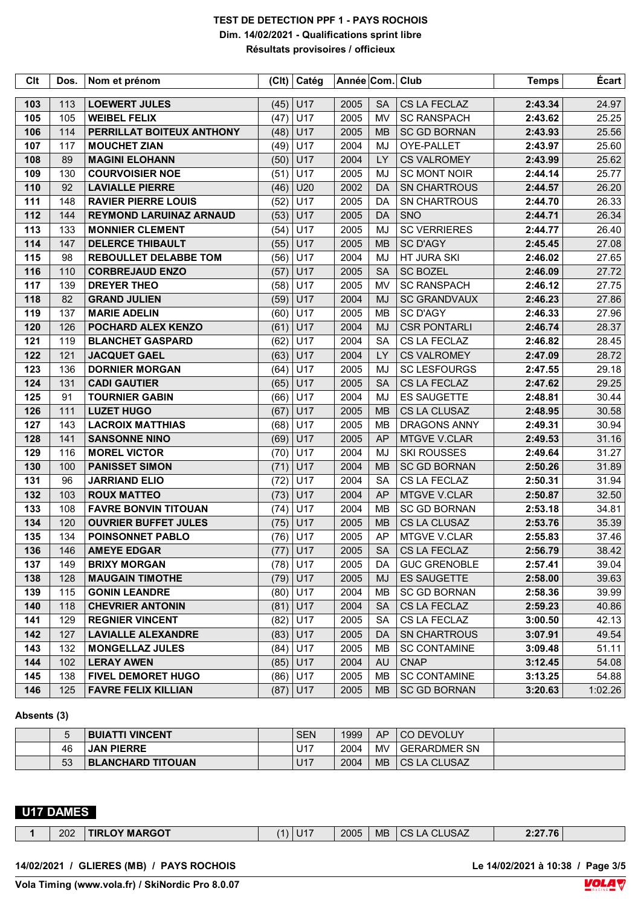| Clt | Dos. | Nom et prénom                  | C    | Catég      | Année Com. |           | Club                | <b>Temps</b> | Écart   |
|-----|------|--------------------------------|------|------------|------------|-----------|---------------------|--------------|---------|
| 103 | 113  | <b>LOEWERT JULES</b>           | (45) | U17        | 2005       | <b>SA</b> | CS LA FECLAZ        | 2:43.34      | 24.97   |
| 105 | 105  | <b>WEIBEL FELIX</b>            | (47) | U17        | 2005       | <b>MV</b> | <b>SC RANSPACH</b>  | 2:43.62      | 25.25   |
| 106 | 114  | PERRILLAT BOITEUX ANTHONY      | (48) | U17        | 2005       | <b>MB</b> | <b>SC GD BORNAN</b> | 2:43.93      | 25.56   |
| 107 | 117  | <b>MOUCHET ZIAN</b>            | (49) | U17        | 2004       | MJ        | OYE-PALLET          | 2:43.97      | 25.60   |
| 108 | 89   | <b>MAGINI ELOHANN</b>          | (50) | U17        | 2004       | <b>LY</b> | <b>CS VALROMEY</b>  | 2:43.99      | 25.62   |
| 109 | 130  | <b>COURVOISIER NOE</b>         | (51) | U17        | 2005       | MJ        | <b>SC MONT NOIR</b> | 2:44.14      | 25.77   |
| 110 | 92   | <b>LAVIALLE PIERRE</b>         | (46) | U20        | 2002       | <b>DA</b> | <b>SN CHARTROUS</b> | 2:44.57      | 26.20   |
| 111 | 148  | <b>RAVIER PIERRE LOUIS</b>     | (52) | U17        | 2005       | DA        | <b>SN CHARTROUS</b> | 2:44.70      | 26.33   |
| 112 | 144  | <b>REYMOND LARUINAZ ARNAUD</b> | (53) | U17        | 2005       | <b>DA</b> | SNO                 | 2:44.71      | 26.34   |
| 113 | 133  | <b>MONNIER CLEMENT</b>         | (54) | U17        | 2005       | MJ        | <b>SC VERRIERES</b> | 2:44.77      | 26.40   |
| 114 | 147  | <b>DELERCE THIBAULT</b>        | (55) | U17        | 2005       | <b>MB</b> | <b>SC D'AGY</b>     | 2:45.45      | 27.08   |
| 115 | 98   | <b>REBOULLET DELABBE TOM</b>   | (56) | U17        | 2004       | MJ        | HT JURA SKI         | 2:46.02      | 27.65   |
| 116 | 110  | <b>CORBREJAUD ENZO</b>         | (57) | U17        | 2005       | <b>SA</b> | <b>SC BOZEL</b>     | 2:46.09      | 27.72   |
| 117 | 139  | <b>DREYER THEO</b>             | (58) | U17        | 2005       | <b>MV</b> | <b>SC RANSPACH</b>  | 2:46.12      | 27.75   |
| 118 | 82   | <b>GRAND JULIEN</b>            | (59) | U17        | 2004       | <b>MJ</b> | <b>SC GRANDVAUX</b> | 2:46.23      | 27.86   |
| 119 | 137  | <b>MARIE ADELIN</b>            | (60) | U17        | 2005       | <b>MB</b> | <b>SC D'AGY</b>     | 2:46.33      | 27.96   |
| 120 | 126  | POCHARD ALEX KENZO             | (61) | U17        | 2004       | <b>MJ</b> | <b>CSR PONTARLI</b> | 2:46.74      | 28.37   |
| 121 | 119  | <b>BLANCHET GASPARD</b>        | (62) | U17        | 2004       | <b>SA</b> | CS LA FECLAZ        | 2:46.82      | 28.45   |
| 122 | 121  | <b>JACQUET GAEL</b>            | (63) | U17        | 2004       | LY        | <b>CS VALROMEY</b>  | 2:47.09      | 28.72   |
| 123 | 136  | <b>DORNIER MORGAN</b>          | (64) | U17        | 2005       | MJ        | <b>SC LESFOURGS</b> | 2:47.55      | 29.18   |
| 124 | 131  | <b>CADI GAUTIER</b>            | (65) | U17        | 2005       | <b>SA</b> | CS LA FECLAZ        | 2:47.62      | 29.25   |
| 125 | 91   | <b>TOURNIER GABIN</b>          | (66) | U17        | 2004       | MJ        | <b>ES SAUGETTE</b>  | 2:48.81      | 30.44   |
| 126 | 111  | <b>LUZET HUGO</b>              | (67) | U17        | 2005       | <b>MB</b> | CS LA CLUSAZ        | 2:48.95      | 30.58   |
| 127 | 143  | <b>LACROIX MATTHIAS</b>        | (68) | U17        | 2005       | <b>MB</b> | <b>DRAGONS ANNY</b> | 2:49.31      | 30.94   |
| 128 | 141  | <b>SANSONNE NINO</b>           | (69) | U17        | 2005       | <b>AP</b> | MTGVE V.CLAR        | 2:49.53      | 31.16   |
| 129 | 116  | <b>MOREL VICTOR</b>            | (70) | U17        | 2004       | MJ        | <b>SKI ROUSSES</b>  | 2:49.64      | 31.27   |
| 130 | 100  | <b>PANISSET SIMON</b>          | (71) | U17        | 2004       | <b>MB</b> | <b>SC GD BORNAN</b> | 2:50.26      | 31.89   |
| 131 | 96   | <b>JARRIAND ELIO</b>           | (72) | U17        | 2004       | <b>SA</b> | CS LA FECLAZ        | 2:50.31      | 31.94   |
| 132 | 103  | <b>ROUX MATTEO</b>             | (73) | U17        | 2004       | AP        | MTGVE V.CLAR        | 2:50.87      | 32.50   |
| 133 | 108  | <b>FAVRE BONVIN TITOUAN</b>    | (74) | U17        | 2004       | MB        | <b>SC GD BORNAN</b> | 2:53.18      | 34.81   |
| 134 | 120  | <b>OUVRIER BUFFET JULES</b>    | (75) | U17        | 2005       | <b>MB</b> | CS LA CLUSAZ        | 2:53.76      | 35.39   |
| 135 | 134  | <b>POINSONNET PABLO</b>        | (76) | U17        | 2005       | AP        | MTGVE V.CLAR        | 2:55.83      | 37.46   |
| 136 | 146  | <b>AMEYE EDGAR</b>             |      | $(77)$ U17 | 2005       | SA        | CS LA FECLAZ        | 2:56.79      | 38.42   |
| 137 | 149  | <b>BRIXY MORGAN</b>            |      | $(78)$ U17 | 2005       | DA        | <b>GUC GRENOBLE</b> | 2:57.41      | 39.04   |
| 138 | 128  | <b>MAUGAIN TIMOTHE</b>         |      | $(79)$ U17 | 2005       | MJ        | <b>ES SAUGETTE</b>  | 2:58.00      | 39.63   |
| 139 | 115  | <b>GONIN LEANDRE</b>           |      | $(80)$ U17 | 2004       | MВ        | <b>SC GD BORNAN</b> | 2:58.36      | 39.99   |
| 140 | 118  | <b>CHEVRIER ANTONIN</b>        | (81) | U17        | 2004       | SA        | CS LA FECLAZ        | 2:59.23      | 40.86   |
| 141 | 129  | <b>REGNIER VINCENT</b>         | (82) | U17        | 2005       | SA        | CS LA FECLAZ        | 3:00.50      | 42.13   |
| 142 | 127  | <b>LAVIALLE ALEXANDRE</b>      |      | $(83)$ U17 | 2005       | DA        | SN CHARTROUS        | 3:07.91      | 49.54   |
| 143 | 132  | <b>MONGELLAZ JULES</b>         | (84) | U17        | 2005       | MВ        | <b>SC CONTAMINE</b> | 3:09.48      | 51.11   |
| 144 | 102  | <b>LERAY AWEN</b>              |      | $(85)$ U17 | 2004       | AU        | <b>CNAP</b>         | 3:12.45      | 54.08   |
| 145 | 138  | <b>FIVEL DEMORET HUGO</b>      |      | $(86)$ U17 | 2005       | MВ        | <b>SC CONTAMINE</b> | 3:13.25      | 54.88   |
| 146 | 125  | <b>FAVRE FELIX KILLIAN</b>     |      | $(87)$ U17 | 2005       | <b>MB</b> | <b>SC GD BORNAN</b> | 3:20.63      | 1:02.26 |

### **Absents (3)**

| Э  | <b>BUIATTI VINCENT</b>   | <b>SEN</b> | 1999 | AP.       | CO DEVOLUY          |  |
|----|--------------------------|------------|------|-----------|---------------------|--|
| 46 | <b>JAN PIERRE</b>        | U17        | 2004 | MV        | <b>GERARDMER SN</b> |  |
| 53 | <b>BLANCHARD TITOUAN</b> | U17        | 2004 | <b>MB</b> | ∣CS LA CLUSAZ       |  |

## **U17 DAMES**

| 202 | <b>DY MARGOT</b><br>TIRL. | (1) | $\sqrt{11}$ | 2005 | <b>MB</b> | <b>USAZ</b><br>$A$ $C$<br>$\sim$<br>いい<br>$\mathbf{v}$ | 2.277 |  |
|-----|---------------------------|-----|-------------|------|-----------|--------------------------------------------------------|-------|--|

#### **14/02/2021 / GLIERES (MB) / PAYS ROCHOIS Le 14/02/2021 à 10:38 / Page 3/5**

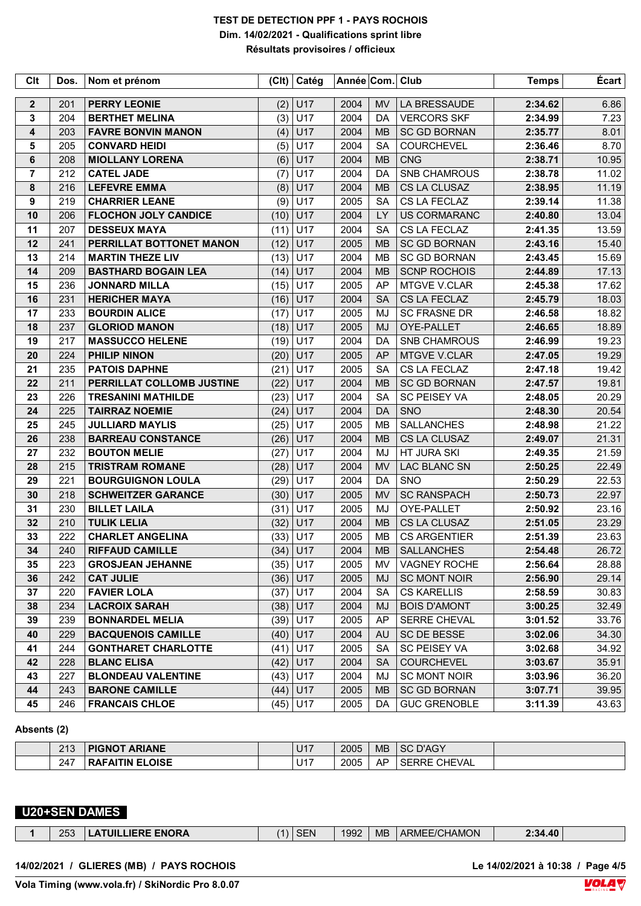| Clt            | Dos. | Nom et prénom               |      | (Clt) Catég | Année Com. Club |           |                     | <b>Temps</b> | Écart |
|----------------|------|-----------------------------|------|-------------|-----------------|-----------|---------------------|--------------|-------|
| $\mathbf 2$    | 201  | <b>PERRY LEONIE</b>         | (2)  | U17         | 2004            | <b>MV</b> | LA BRESSAUDE        | 2:34.62      | 6.86  |
| 3              | 204  | <b>BERTHET MELINA</b>       | (3)  | U17         | 2004            | DA        | <b>VERCORS SKF</b>  | 2:34.99      | 7.23  |
| 4              | 203  | <b>FAVRE BONVIN MANON</b>   | (4)  | U17         | 2004            | <b>MB</b> | <b>SC GD BORNAN</b> | 2:35.77      | 8.01  |
| 5              | 205  | <b>CONVARD HEIDI</b>        | (5)  | U17         | 2004            | <b>SA</b> | COURCHEVEL          | 2:36.46      | 8.70  |
| 6              | 208  | <b>MIOLLANY LORENA</b>      | (6)  | U17         | 2004            | <b>MB</b> | <b>CNG</b>          | 2:38.71      | 10.95 |
| $\overline{7}$ | 212  | <b>CATEL JADE</b>           | (7)  | U17         | 2004            | <b>DA</b> | SNB CHAMROUS        | 2:38.78      | 11.02 |
| 8              | 216  | <b>LEFEVRE EMMA</b>         | (8)  | U17         | 2004            | <b>MB</b> | CS LA CLUSAZ        | 2:38.95      | 11.19 |
| 9              | 219  | <b>CHARRIER LEANE</b>       | (9)  | U17         | 2005            | <b>SA</b> | CS LA FECLAZ        | 2:39.14      | 11.38 |
| 10             | 206  | <b>FLOCHON JOLY CANDICE</b> | (10) | U17         | 2004            | LY        | <b>US CORMARANC</b> | 2:40.80      | 13.04 |
| 11             | 207  | <b>DESSEUX MAYA</b>         | (11) | U17         | 2004            | <b>SA</b> | CS LA FECLAZ        | 2:41.35      | 13.59 |
| 12             | 241  | PERRILLAT BOTTONET MANON    | (12) | <b>U17</b>  | 2005            | <b>MB</b> | <b>SC GD BORNAN</b> | 2:43.16      | 15.40 |
| 13             | 214  | <b>MARTIN THEZE LIV</b>     | (13) | U17         | 2004            | <b>MB</b> | <b>SC GD BORNAN</b> | 2:43.45      | 15.69 |
| 14             | 209  | <b>BASTHARD BOGAIN LEA</b>  | (14) | U17         | 2004            | <b>MB</b> | <b>SCNP ROCHOIS</b> | 2:44.89      | 17.13 |
| 15             | 236  | <b>JONNARD MILLA</b>        | (15) | U17         | 2005            | AP        | <b>MTGVE V.CLAR</b> | 2:45.38      | 17.62 |
| 16             | 231  | <b>HERICHER MAYA</b>        | (16) | U17         | 2004            | <b>SA</b> | CS LA FECLAZ        | 2:45.79      | 18.03 |
| 17             | 233  | <b>BOURDIN ALICE</b>        | (17) | U17         | 2005            | <b>MJ</b> | <b>SC FRASNE DR</b> | 2:46.58      | 18.82 |
| 18             | 237  | <b>GLORIOD MANON</b>        | (18) | U17         | 2005            | <b>MJ</b> | OYE-PALLET          | 2:46.65      | 18.89 |
| 19             | 217  | <b>MASSUCCO HELENE</b>      | (19) | U17         | 2004            | DA        | <b>SNB CHAMROUS</b> | 2:46.99      | 19.23 |
| 20             | 224  | <b>PHILIP NINON</b>         | (20) | U17         | 2005            | <b>AP</b> | MTGVE V.CLAR        | 2:47.05      | 19.29 |
| 21             | 235  | <b>PATOIS DAPHNE</b>        | (21) | U17         | 2005            | <b>SA</b> | CS LA FECLAZ        | 2:47.18      | 19.42 |
| 22             | 211  | PERRILLAT COLLOMB JUSTINE   | (22) | U17         | 2004            | <b>MB</b> | <b>SC GD BORNAN</b> | 2:47.57      | 19.81 |
| 23             | 226  | <b>TRESANINI MATHILDE</b>   | (23) | U17         | 2004            | <b>SA</b> | <b>SC PEISEY VA</b> | 2:48.05      | 20.29 |
| 24             | 225  | <b>TAIRRAZ NOEMIE</b>       | (24) | U17         | 2004            | DA        | SNO                 | 2:48.30      | 20.54 |
| 25             | 245  | <b>JULLIARD MAYLIS</b>      | (25) | U17         | 2005            | <b>MB</b> | <b>SALLANCHES</b>   | 2:48.98      | 21.22 |
| 26             | 238  | <b>BARREAU CONSTANCE</b>    | (26) | U17         | 2004            | <b>MB</b> | CS LA CLUSAZ        | 2:49.07      | 21.31 |
| 27             | 232  | <b>BOUTON MELIE</b>         | (27) | U17         | 2004            | MJ        | HT JURA SKI         | 2:49.35      | 21.59 |
| 28             | 215  | <b>TRISTRAM ROMANE</b>      | (28) | U17         | 2004            | <b>MV</b> | LAC BLANC SN        | 2:50.25      | 22.49 |
| 29             | 221  | <b>BOURGUIGNON LOULA</b>    | (29) | U17         | 2004            | DA        | SNO                 | 2:50.29      | 22.53 |
| 30             | 218  | <b>SCHWEITZER GARANCE</b>   | (30) | U17         | 2005            | <b>MV</b> | <b>SC RANSPACH</b>  | 2:50.73      | 22.97 |
| 31             | 230  | <b>BILLET LAILA</b>         | (31) | U17         | 2005            | MJ        | OYE-PALLET          | 2:50.92      | 23.16 |
| 32             | 210  | <b>TULIK LELIA</b>          | (32) | U17         | 2004            | <b>MB</b> | CS LA CLUSAZ        | 2:51.05      | 23.29 |
| 33             | 222  | <b>CHARLET ANGELINA</b>     | (33) | U17         | 2005            | <b>MB</b> | <b>CS ARGENTIER</b> | 2:51.39      | 23.63 |
| 34             | 240  | <b>RIFFAUD CAMILLE</b>      |      | $(34)$ U17  | 2004            | <b>MB</b> | <b>SALLANCHES</b>   | 2:54.48      | 26.72 |
| 35             | 223  | <b>GROSJEAN JEHANNE</b>     |      | $(35)$ U17  | 2005            | MV        | VAGNEY ROCHE        | 2:56.64      | 28.88 |
| 36             | 242  | <b>CAT JULIE</b>            |      | $(36)$ U17  | 2005            | MJ        | <b>SC MONT NOIR</b> | 2:56.90      | 29.14 |
| 37             | 220  | <b>FAVIER LOLA</b>          |      | $(37)$ U17  | 2004            | <b>SA</b> | <b>CS KARELLIS</b>  | 2:58.59      | 30.83 |
| 38             | 234  | <b>LACROIX SARAH</b>        |      | $(38)$ U17  | 2004            | MJ        | <b>BOIS D'AMONT</b> | 3:00.25      | 32.49 |
| 39             | 239  | <b>BONNARDEL MELIA</b>      |      | $(39)$ U17  | 2005            | AP        | SERRE CHEVAL        | 3:01.52      | 33.76 |
| 40             | 229  | <b>BACQUENOIS CAMILLE</b>   |      | $(40)$ U17  | 2004            | AU        | <b>SC DE BESSE</b>  | 3:02.06      | 34.30 |
| 41             | 244  | <b>GONTHARET CHARLOTTE</b>  | (41) | U17         | 2005            | <b>SA</b> | <b>SC PEISEY VA</b> | 3:02.68      | 34.92 |
| 42             | 228  | <b>BLANC ELISA</b>          |      | $(42)$ U17  | 2004            | <b>SA</b> | <b>COURCHEVEL</b>   | 3:03.67      | 35.91 |
| 43             | 227  | <b>BLONDEAU VALENTINE</b>   |      | $(43)$ U17  | 2004            | MJ        | <b>SC MONT NOIR</b> | 3:03.96      | 36.20 |
| 44             | 243  | <b>BARONE CAMILLE</b>       |      | $(44)$ U17  | 2005            | <b>MB</b> | <b>SC GD BORNAN</b> | 3:07.71      | 39.95 |
| 45             | 246  | <b>FRANCAIS CHLOE</b>       |      | $(45)$ U17  | 2005            | DA        | <b>GUC GRENOBLE</b> | 3:11.39      | 43.63 |

#### **Absents (2)**

| 212<br>ں اے | <b>ARIANE</b><br><b>PIGNOT</b> | 7147<br>$\cup$   | 2005 | <b>MB</b> | SC D'AGY                      |  |
|-------------|--------------------------------|------------------|------|-----------|-------------------------------|--|
| 247         | <b>RAFAITIN ELOISE</b>         | . -<br><b>UI</b> | 2005 | AP        | <b>CHEVAL</b><br><b>SERRE</b> |  |

## **U20+SEN DAMES**

|  | 253 | <b>ERE ENORA</b> | (1) | - י | 1992 | <b>MB</b> | <b>HAMON</b><br>∍миг<br>BUNE | :34.40 |  |
|--|-----|------------------|-----|-----|------|-----------|------------------------------|--------|--|
|--|-----|------------------|-----|-----|------|-----------|------------------------------|--------|--|

**14/02/2021 / GLIERES (MB) / PAYS ROCHOIS Le 14/02/2021 à 10:38 / Page 4/5**